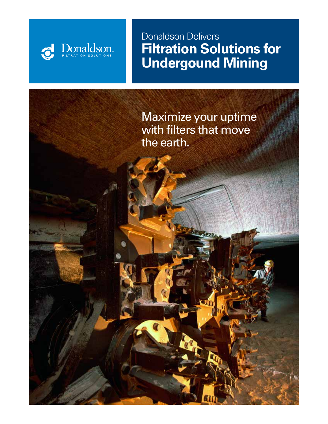## Donaldson Delivers **Filtration Solutions for Undergound Mining**

Jonaldson.

Maximize your uptime with filters that move the earth.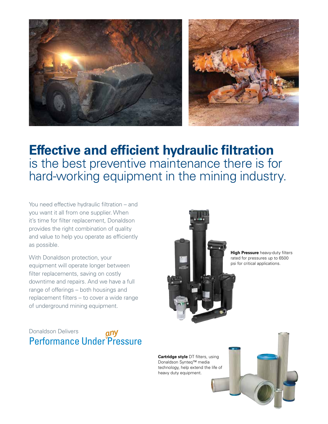

## **Effective and efficient hydraulic filtration** is the best preventive maintenance there is for hard-working equipment in the mining industry.

You need effective hydraulic filtration – and you want it all from one supplier. When it's time for filter replacement, Donaldson provides the right combination of quality and value to help you operate as efficiently as possible.

With Donaldson protection, your equipment will operate longer between filter replacements, saving on costly downtime and repairs. And we have a full range of offerings – both housings and replacement filters – to cover a wide range of underground mining equipment.



**High Pressure** heavy-duty filters rated for pressures up to 6500 psi for critical applications.



**Cartridge style** DT filters, using Donaldson Synteq™ media technology, help extend the life of heavy duty equipment.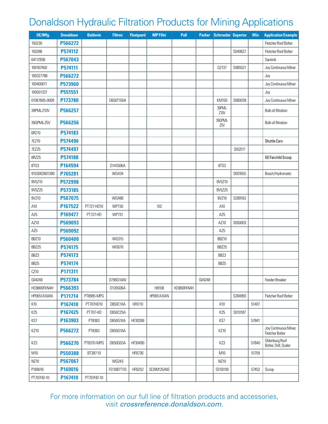## Donaldson Hydraulic Filtration Products for Mining Applications

| OE/Mfg.          | <b>Donaldson</b> | <b>Baldwin</b> | <b>Filtrec</b> | <b>Fleetguard</b> | <b>MP Filtri</b> | Pall        |        | Parker Schroeder Superior |         | <b>Wix</b> | <b>Application Example</b>               |
|------------------|------------------|----------------|----------------|-------------------|------------------|-------------|--------|---------------------------|---------|------------|------------------------------------------|
| 150230           | P566272          |                |                |                   |                  |             |        |                           |         |            | Fletcher Roof Bolter                     |
| 150288           | P574112          |                |                |                   |                  |             |        |                           | S040627 |            | Fletcher Roof Bolter                     |
| 64112936         | P567043          |                |                |                   |                  |             |        |                           |         |            | Sandvik                                  |
| 100167450        | P574111          |                |                |                   |                  |             |        | G2137                     | S065521 |            | Joy Continuous Miner                     |
| 100327786        | P566272          |                |                |                   |                  |             |        |                           |         |            | Joy                                      |
| 100400011        | P573960          |                |                |                   |                  |             |        |                           |         |            | Joy Continuous Miner                     |
| 100501337        | P551551          |                |                |                   |                  |             |        |                           |         |            | Joy                                      |
| 01067605-0009    | P173780          |                | D650T150A      |                   |                  |             |        | KM150                     | S060039 |            | Joy Continuous Miner                     |
| 39PML-Z10V       | P566257          |                |                |                   |                  |             |        | 39PML-<br>Z10V            |         |            | Bulk oil filtration                      |
| 39QPML-Z5V       | P566256          |                |                |                   |                  |             |        | 390PML-<br>Z5V            |         |            | Bulk oil filtration                      |
| 6RZ10            | P574183          |                |                |                   |                  |             |        |                           |         |            |                                          |
| 7EZ10            | P574496          |                |                |                   |                  |             |        |                           |         |            | Shuttle Cars                             |
| <b>7EZ25</b>     | P574497          |                |                |                   |                  |             |        |                           | S052017 |            |                                          |
| 8RZ25            | P574188          |                |                |                   |                  |             |        |                           |         |            | <b>GE Fairchild Scoop</b>                |
| 8TS3             | P164594          |                | D141G06A       |                   |                  |             |        | 8TS3                      |         |            |                                          |
| 9153002601380    | P765281          |                | <b>WG434</b>   |                   |                  |             |        |                           | S051655 |            | Bosch/Hydromatic                         |
| 9V5Z10           | P572998          |                |                |                   |                  |             |        | 9V5Z10                    |         |            |                                          |
| 9V5Z25           | P573185          |                |                |                   |                  |             |        | 9V5Z25                    |         |            |                                          |
| 9VZ10            | P567075          |                | <b>WG486</b>   |                   |                  |             |        | 9VZ10                     | S289163 |            |                                          |
| A10              | P167522          | PT727-HD10     | <b>WP730</b>   |                   | 102              |             |        | A10                       |         |            |                                          |
| A25              | P169477          | PT727-HD       | <b>WP731</b>   |                   |                  |             |        | A25                       |         |            |                                          |
| AZ10             | P569093          |                |                |                   |                  |             |        | AZ10                      | S050003 |            |                                          |
| AZ <sub>5</sub>  | P569092          |                |                |                   |                  |             |        | AZ <sub>5</sub>           |         |            |                                          |
| BBZ10            | P560400          |                | <b>WG315</b>   |                   |                  |             |        | <b>BBZ10</b>              |         |            |                                          |
| BBZ25            | P574175          |                | <b>WG670</b>   |                   |                  |             |        | BBZ25                     |         |            |                                          |
| BBZ3             | P574173          |                |                |                   |                  |             |        | BBZ3                      |         |            |                                          |
| BBZ <sub>5</sub> | P574174          |                |                |                   |                  |             |        | BBZ <sub>5</sub>          |         |            |                                          |
| CZ10             | P171311          |                |                |                   |                  |             |        |                           |         |            |                                          |
| G04248           | P573784          |                | D790G10AV      |                   |                  |             | G04248 |                           |         |            | Feeder Breaker                           |
| HC9800FKN4H      | P566393          |                | D120G06A       |                   | H9108            | HC9800FKN4H |        |                           |         |            |                                          |
| HP0651A10AN      | P171714          | PT8995-MPG     |                |                   | HP0651A10AN      |             |        |                           | S284993 |            | Fletcher Roof Bolter                     |
| K10              | P167410          | PT707HD10      | D650C10A       | HF6110            |                  |             |        | K10                       |         | 51407      |                                          |
| K25              | P167425          | PT707-HD       | D650C25A       |                   |                  |             |        | K25                       | S010187 |            |                                          |
| KS7              | P163903          | PT8363         | D650G10A       | HF30268           |                  |             |        | KS7                       |         | 57841      |                                          |
| KZ10             | P566272          | PT8363         | D650G10A       |                   |                  |             |        | KZ10                      |         |            | Joy Continuous Miner,<br>Fletcher Bolter |
| KZ3              | P566270          | PT8370-MPG     | D650G03A       | HF30490           |                  |             |        | KZ3                       |         | 57840      | Oldenburg Roof<br>Bolter, Drill, Scaler  |
| M10              | P550388          | BT387-10       |                | HF6736            |                  |             |        | M10                       |         | 51759      |                                          |
| NZ10             | P567067          |                | <b>WG243</b>   |                   |                  |             |        | NZ10                      |         |            |                                          |
| P169016          | P169016          |                | FS130B7T125    | HF6253            | SE30M125ANS      |             |        | SS150100                  |         | 57452      | Scoop                                    |
| PT707HD-10       | P167410          | PT707HD-10     |                |                   |                  |             |        |                           |         |            |                                          |

For more information on our full line of filtration products and accessories, visit *crossreference.donaldson.com*.